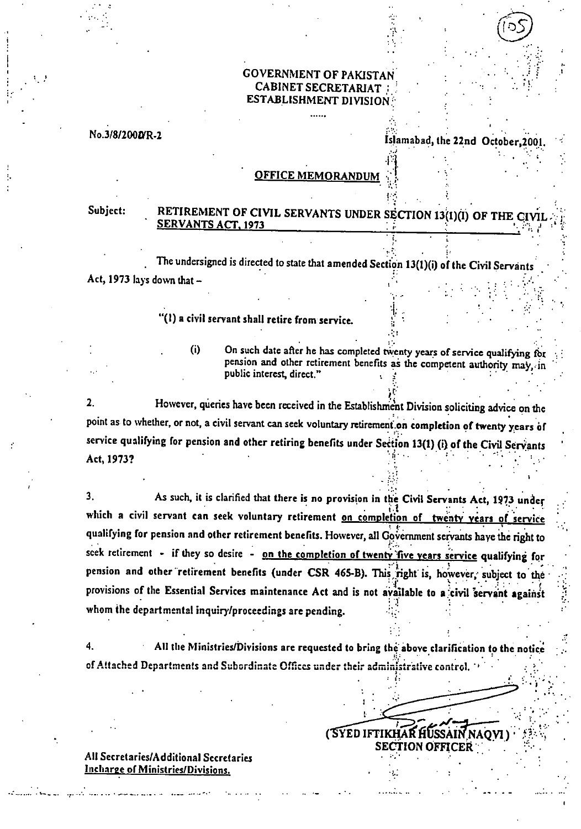### GOVERNMENT OF PAKISTAN CABINET SECRETARIAT ESTABLISHMENT DIVISION

No.3/8/200D/R-2

z

Islamabad, the 22nd October, 2001.

#### **OFFICE MEMORANDUM**

### Subject: RETIREMENT OF CIVIL SERVANTS UNDER SECTION 13(1)(I) OF THE CIVI SERVANTS ACT, 1973

The undersigned is directed to state that amended Section 13(1)(i) of the Civil Servants Act, 1973 lays down that  $-$ 

## "(I) a civil servant shall retire from service.

 $(i)$ 

On such date after he has completed twenty years of service qualifying for pension and other retirement benefits as the competent authority may, in public interest, direct."

r.

•

1•:;;

t •

**SECTION OFFICEk : . :•. • . .•** 

( **YED IFTIKHAR HUSSAI NAQ) . <sup>7</sup><sup>1</sup>**

 $2<sup>1</sup>$ However, queries have been received in the Establishment Division soliciting advice on the point as to whether, or not, a civil servant can seek voluntary retirement on completion of twenty years of service qualifying for pension and other retiring benefits under Section 13(1) (i) of the Civil Servants Act, 1973?

 $3<sub>1</sub>$ As such, it is clarified that there is no provision in the Civil Servants Act, 1973 under which a civil servant can seek voluntary retirement on completio on of twenty years of service 4.. • **•**  qualifying for pension and other retirement benefits. However, all Government servants have the right to seek retirement - if they so desire - on the completion of twenty five years service qualifying for pension and other retirement benefits (under CSR 465-B). This right is, however, subject to the provisions of the Essential Services maintenance Act and is not available to a civil servant against whom the departmental inquiry/proceedings are pending.

of Attached Departments and Subordinate Offices under their administrative control. 4. All the Ministries/Divisions are requested to bring the above clarification to the notice •

All Secretaries/Additional Secretaries Incharge of Ministries/Divisions.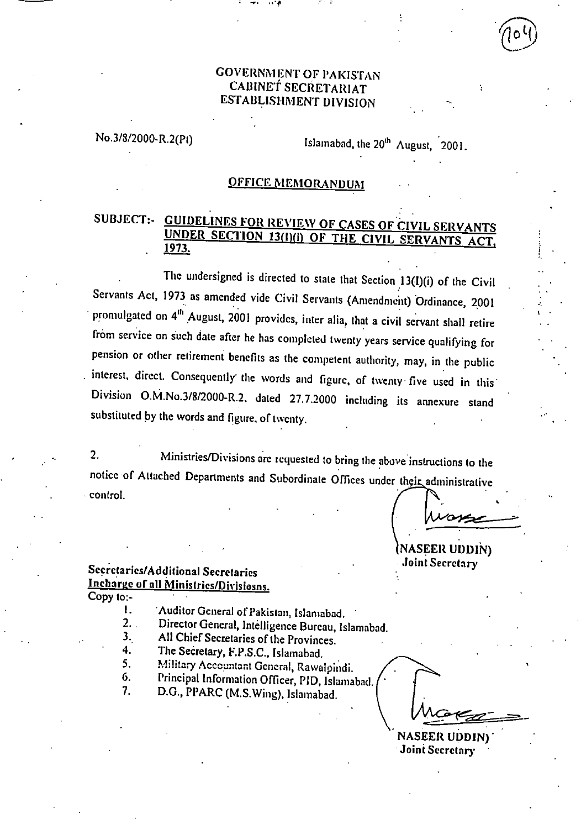## GOVERNMENT OF PAKISTAN CABINET SECRETARIAT ESTABLISHMENT DIVISION

No.3/8/2000-R.2(Pt) Islamabad, the  $20<sup>th</sup>$  August, 2001.

#### OFFICE MEMORANDUM

# SUBJECT:- GUIDELINES FOR REVIEW OF CASES OF CIVIL SERVANTS UNDER SECTION 13(I)(i) OF THE CIVIL SERVANTS ACT, 1973.

The undersigned is directed to state that Section 13(I)(i) of the Civil Servants Act, 1973 as amended vide Civil Servants (Amendment) Ordinance, 2001 promulgated on  $4<sup>th</sup>$  August, 2001 provides, inter alia, that a civil servant shall retire from service on such date after he has completed twenty years service qualifying for pension or other retirement benefits as the competent authority, may, in the public interest, direct. Consequently the words and figure, of twenty five used in this Division 0.M.No.3/8/2000-R.2. dated 27.7.2000 including its annexure stand substituted by the words and figure. of twenty.

2. Ministries/Divisions are tequested to bring the above instructions to the notice of Attached Departments and Subordinate Offices under their administrative control.

NASEER UDDIN) Joint Secretary

# Secretaries/Additional Secretaries Incharge of all Ministries/Divisiosns.

Copy to:-

- 1. 'Auditor General of Pakistan, Islamabad.<br>2. . Director General. Intellivence Bureau Is
- Director General, Intelligence Bureau, Islamabad.
- 3. All Chief Secretaries of the Provinces.<br>4. The Secretary F P S C Islamabed.
- The Secretary, F.P.S.C., Islamabad.
- Military Accountant General, Rawalpindi. 5.
- Principal Information Officer, PID, Islamabad. 6.
- 7. D.C., PPARC (M.S.Wing), Islamabad.

NASEER UDDIN) Joint Secretary •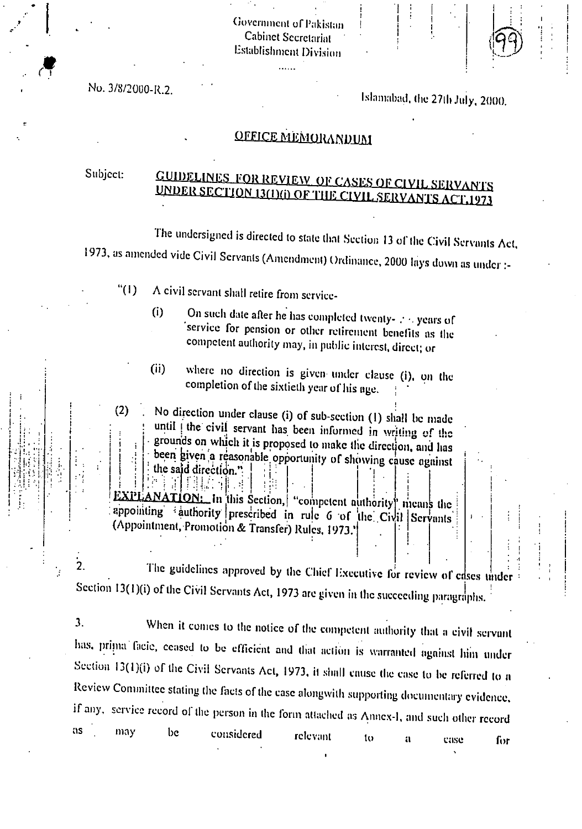Government of Pakistan **Cabinet Secretariat** Establishment Division

ilian.<br>Tan

No. 3/8/2000-R.2.

Islamabad, the 27th July, 2000.

1

# OFFICE MEMORANDUM

# Subject: GUIDELINES FOR REVIEW OF CASES OF CIVIL SERVANTS MIERusnON I UNDER SECTION 13(1)(i) OF THE CIVIL SERVANTS ACT.1973

The undersigned is directed to state that Section 13 of the Civil Servants Act, 1973, as amended vide Civil Servants (Amendment) Ordinance, 2000 lays down as under :-

- " $(1)$  A civil servant shall retire from service-
	- On such date after he has completed twenty- ; . years of  $(i)$ service for pension or other retirement benefits as the competent authority may, in public interest, direct; or
	- (ii) where no direction is given under clause (i), on the completion of the sixtieth year of his age.
- $(2)$  No direction under clause (i) of sub-section (1) shall be made until the civil servant has been informed in writing of the grounds on which it is proposed to make the direction, and has been given a reasonable opportunity of showing cause against the said direction."

competent authority means the appointing authority prescribed in rule 6 of the Civil Servants (Appointment, Promotion & Transfer) Rules, 1973.' . I EXPLANATION: In this Section, 極地理 理 | 一|

 $\overline{2}$ . The guidelines approved by the Chief Executive for review of cases under Section 13(1)(i) of the Civil Servants Act, 1973 are given in the succeeding paragraphs.

 $3.$ When it comes to the notice of the competent authority that a civil servant has, prima facie, ceased to be efficient and that action is warranted against him under Section 13(1)(i) of the Civil Servants Act, 1973, it shall cause the case to be referred to a Review Committee stating the facts of the case alongwith supporting documentary evidence, if any, service record of the person in the form attached as Annex-1, and such other record as may be considered relevant to a case Ihr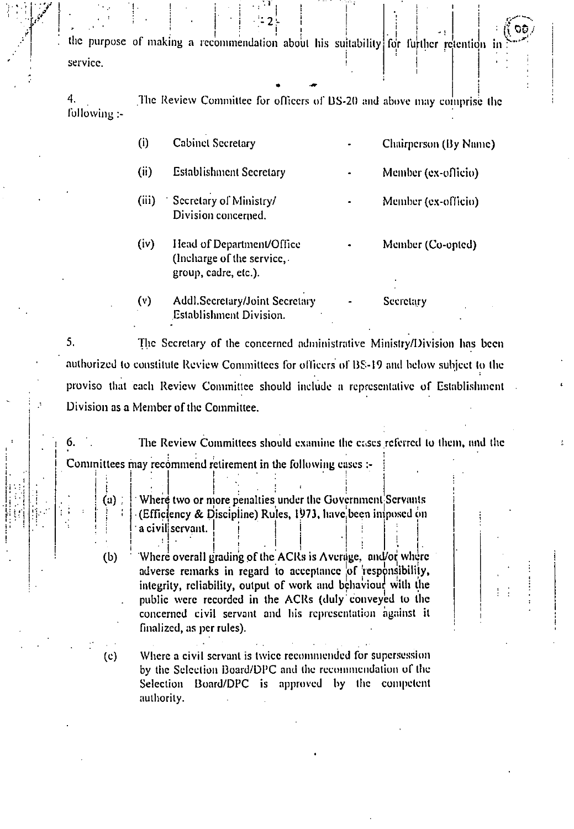$\begin{bmatrix} 1 & 0 & 1 \\ 0 & 0 & 1 \end{bmatrix}$  ,  $\begin{bmatrix} 1 & 1 \\ 0 & 1 \end{bmatrix}$  ,  $\begin{bmatrix} 1 & 1 \\ 1 & 1 \end{bmatrix}$  ,  $\begin{bmatrix} 1 & 1 \\ 1 & 1 \end{bmatrix}$  ,  $\begin{bmatrix} 1 & 1 \\ 1 & 1 \end{bmatrix}$ . the purpose of making a recommendation about his suitability i service.  $\begin{bmatrix} 1 & 1 \\ 0 & 0 \end{bmatrix}$  for further retention in :

1 .

l.

I

 $\vdash$ i

4. following :- The Review Committee for officers of L3S-20 and above may comprise the

| (i)   | <b>Cabinet Secretary</b>                                                        | Chairperson (By Name) |
|-------|---------------------------------------------------------------------------------|-----------------------|
| (ii)  | <b>Establishment Secretary</b>                                                  | Member (ex-officio)   |
| (iii) | Secretary of Ministry/<br>Division concerned.                                   | Member (ex-officio)   |
| (iv)  | Head of Department/Office<br>(Incharge of the service,.<br>group, cadre, etc.). | Member (Co-opted)     |
| (v)   | <b>Addl.Secretary/Joint Secretary</b><br><b>Establishment Division.</b>         | Secretary             |

 $5<sub>1</sub>$ The Secretary of the concerned administrative Ministry/Division has been authorized to constitute Review Committees for officers of BS-19 and below subject to the proviso that each Review Committee should include a representative of Establishment Division as a Member of the Committee.

The Review Committees should examine the cases referred to them, and the Committees may recommend retirement in the following cases :-

a) Where two or more penalties under the Government Servants (Efficiency & Discipline) Rules, 1973. have been imposed on  $\begin{vmatrix} \cdot & \cdot & \cdot \\ \cdot & \cdot & \cdot \\ \cdot & \cdot & \cdot \end{vmatrix}$  a civil servant.  $: \cdot \cdot$  .

. 1 i (b)  $\frac{1}{2}$  Where overall grading of the ACIts is Average, and/or where adverse remarks in regard to acceptance of responsibility, integrity, reliability, output of work and behaviour with the public were recorded in the ACRs (duly conveyed to the concerned civil servant and his representation against it finalized, as per rules).

. The contribution of the contribution of the contribution of the contribution of the contribution of the contribution of the contribution of the contribution of the contribution of the contribution of the contribution of . (c) Where a civil servant is twice recommended for supersession by the Selection Board/DPC and the recommendation of the Selection Board/DPC is approved by the competent authority. .